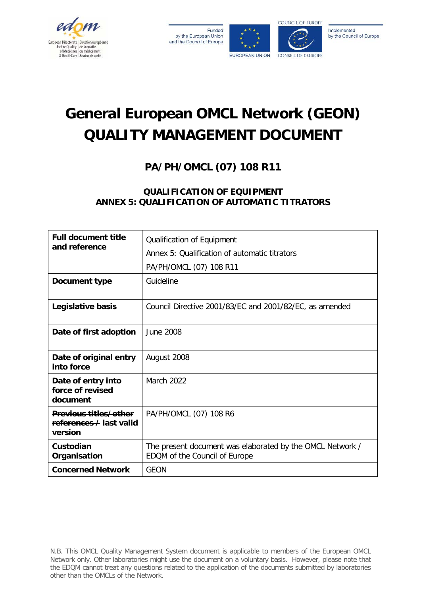

Funded by the European Union and the Council of Europe





Implemented by the Council of Europe

# **General European OMCL Network (GEON) QUALITY MANAGEMENT DOCUMENT**

**PA/PH/OMCL (07) 108 R11**

# **QUALIFICATION OF EQUIPMENT ANNEX 5: QUALIFICATION OF AUTOMATIC TITRATORS**

| <b>Full document title</b><br>and reference                        | Qualification of Equipment<br>Annex 5: Qualification of automatic titrators<br>PA/PH/OMCL (07) 108 R11 |
|--------------------------------------------------------------------|--------------------------------------------------------------------------------------------------------|
| Document type                                                      | Guideline                                                                                              |
| Legislative basis                                                  | Council Directive 2001/83/EC and 2001/82/EC, as amended                                                |
| Date of first adoption                                             | June 2008                                                                                              |
| Date of original entry<br>into force                               | August 2008                                                                                            |
| Date of entry into<br>force of revised<br>document                 | <b>March 2022</b>                                                                                      |
| <b>Previous titles/other</b><br>references / last valid<br>version | PA/PH/OMCL (07) 108 R6                                                                                 |
| Custodian<br>Organisation                                          | The present document was elaborated by the OMCL Network /<br>EDQM of the Council of Europe             |
| <b>Concerned Network</b>                                           | <b>GEON</b>                                                                                            |

N.B. This OMCL Quality Management System document is applicable to members of the European OMCL Network only. Other laboratories might use the document on a voluntary basis. However, please note that the EDQM cannot treat any questions related to the application of the documents submitted by laboratories other than the OMCLs of the Network.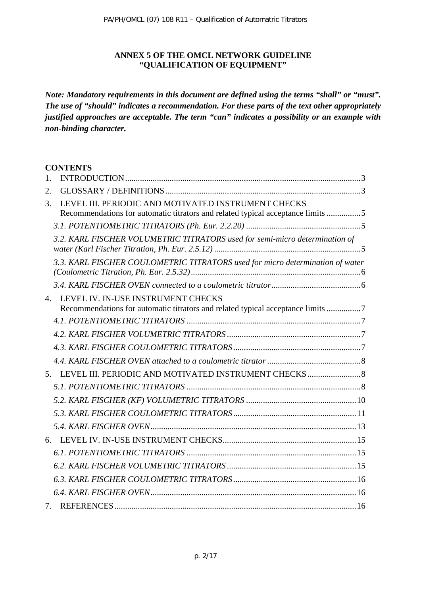#### **ANNEX 5 OF THE OMCL NETWORK GUIDELINE "QUALIFICATION OF EQUIPMENT"**

*Note: Mandatory requirements in this document are defined using the terms "shall" or "must". The use of "should" indicates a recommendation. For these parts of the text other appropriately justified approaches are acceptable. The term "can" indicates a possibility or an example with non-binding character.*

#### **CONTENTS**

| 1.           |                                                                                                                                        |
|--------------|----------------------------------------------------------------------------------------------------------------------------------------|
| 2.           |                                                                                                                                        |
| 3.           | LEVEL III. PERIODIC AND MOTIVATED INSTRUMENT CHECKS<br>Recommendations for automatic titrators and related typical acceptance limits 5 |
|              |                                                                                                                                        |
|              | 3.2. KARL FISCHER VOLUMETRIC TITRATORS used for semi-micro determination of                                                            |
|              | 3.3. KARL FISCHER COULOMETRIC TITRATORS used for micro determination of water                                                          |
|              |                                                                                                                                        |
| $\mathbf{4}$ | LEVEL IV. IN-USE INSTRUMENT CHECKS                                                                                                     |
|              | Recommendations for automatic titrators and related typical acceptance limits 7                                                        |
|              |                                                                                                                                        |
|              |                                                                                                                                        |
|              |                                                                                                                                        |
|              |                                                                                                                                        |
|              | 5. LEVEL III. PERIODIC AND MOTIVATED INSTRUMENT CHECKS  8                                                                              |
|              |                                                                                                                                        |
|              |                                                                                                                                        |
|              |                                                                                                                                        |
|              |                                                                                                                                        |
| 6.           |                                                                                                                                        |
|              |                                                                                                                                        |
|              |                                                                                                                                        |
|              |                                                                                                                                        |
|              |                                                                                                                                        |
| 7.           |                                                                                                                                        |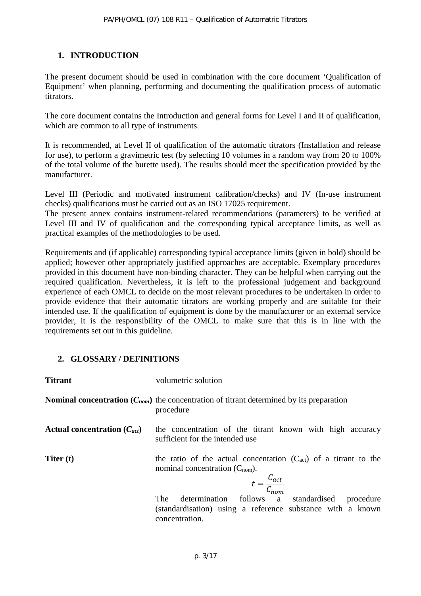# <span id="page-2-0"></span>**1. INTRODUCTION**

The present document should be used in combination with the core document 'Qualification of Equipment' when planning, performing and documenting the qualification process of automatic titrators.

The core document contains the Introduction and general forms for Level I and II of qualification, which are common to all type of instruments.

It is recommended, at Level II of qualification of the automatic titrators (Installation and release for use), to perform a gravimetric test (by selecting 10 volumes in a random way from 20 to 100% of the total volume of the burette used). The results should meet the specification provided by the manufacturer.

Level III (Periodic and motivated instrument calibration/checks) and IV (In-use instrument checks) qualifications must be carried out as an ISO 17025 requirement.

The present annex contains instrument-related recommendations (parameters) to be verified at Level III and IV of qualification and the corresponding typical acceptance limits, as well as practical examples of the methodologies to be used.

Requirements and (if applicable) corresponding typical acceptance limits (given in bold) should be applied; however other appropriately justified approaches are acceptable. Exemplary procedures provided in this document have non-binding character. They can be helpful when carrying out the required qualification. Nevertheless, it is left to the professional judgement and background experience of each OMCL to decide on the most relevant procedures to be undertaken in order to provide evidence that their automatic titrators are working properly and are suitable for their intended use. If the qualification of equipment is done by the manufacturer or an external service provider, it is the responsibility of the OMCL to make sure that this is in line with the requirements set out in this guideline.

# <span id="page-2-1"></span>**2. GLOSSARY / DEFINITIONS**

| <b>Titrant</b>                   | volumetric solution                                                                                                                          |  |
|----------------------------------|----------------------------------------------------------------------------------------------------------------------------------------------|--|
|                                  | <b>Nominal concentration</b> ( $C_{nom}$ ) the concentration of titrant determined by its preparation<br>procedure                           |  |
| Actual concentration $(C_{act})$ | the concentration of the titrant known with high accuracy<br>sufficient for the intended use                                                 |  |
| Titer (t)                        | the ratio of the actual concentation $(C_{act})$ of a titrant to the<br>nominal concentration $(C_{nom})$ .<br>$t = \frac{C_{act}}{C_{nom}}$ |  |
|                                  | determination follows a standardised procedure<br><b>The</b><br>(standardisation) using a reference substance with a known<br>concentration. |  |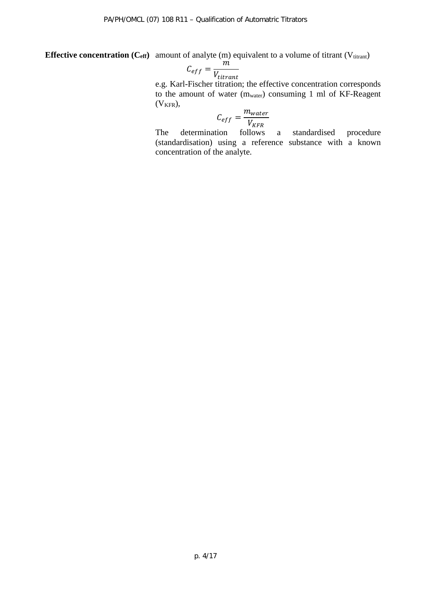**Effective concentration (C<sub>eff</sub>)** amount of analyte (m) equivalent to a volume of titrant (V<sub>titrant</sub>)

$$
C_{eff} = \frac{m}{V_{titrant}}
$$

e.g. Karl-Fischer titration; the effective concentration corresponds to the amount of water (mwater) consuming 1 ml of KF-Reagent  $(V_{KFR})$ ,

$$
C_{eff} = \frac{m_{water}}{V_{KFR}}
$$

follows The determination follows a standardised procedure (standardisation) using a reference substance with a known concentration of the analyte.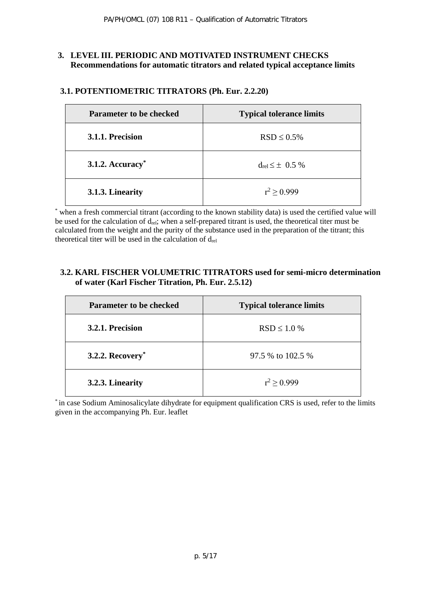#### <span id="page-4-0"></span>**3. LEVEL III. PERIODIC AND MOTIVATED INSTRUMENT CHECKS Recommendations for automatic titrators and related typical acceptance limits**

| <b>Parameter to be checked</b> | <b>Typical tolerance limits</b> |
|--------------------------------|---------------------------------|
| 3.1.1. Precision               | $RSD \leq 0.5\%$                |
| 3.1.2. Accuracy $*$            | $d_{rel} \leq \pm 0.5 \%$       |
| 3.1.3. Linearity               | $r^2 > 0.999$                   |

# <span id="page-4-1"></span>**3.1. POTENTIOMETRIC TITRATORS (Ph. Eur. 2.2.20)**

\* when a fresh commercial titrant (according to the known stability data) is used the certified value will be used for the calculation of drel; when a self-prepared titrant is used, the theoretical titer must be calculated from the weight and the purity of the substance used in the preparation of the titrant; this theoretical titer will be used in the calculation of  $d_{rel}$ 

#### <span id="page-4-2"></span>**3.2. KARL FISCHER VOLUMETRIC TITRATORS used for semi-micro determination of water (Karl Fischer Titration, Ph. Eur. 2.5.12)**

| <b>Parameter to be checked</b> | <b>Typical tolerance limits</b> |
|--------------------------------|---------------------------------|
| 3.2.1. Precision               | $RSD \leq 1.0 %$                |
| 3.2.2. $Recovery^*$            | 97.5 % to 102.5 %               |
| 3.2.3. Linearity               | $r^2 > 0.999$                   |

\* in case Sodium Aminosalicylate dihydrate for equipment qualification CRS is used, refer to the limits given in the accompanying Ph. Eur. leaflet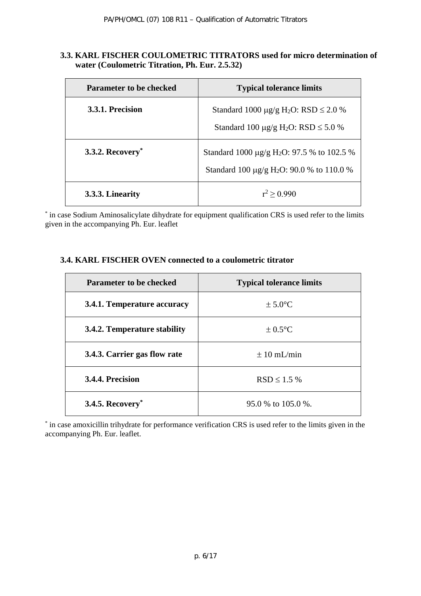#### <span id="page-5-0"></span>**3.3. KARL FISCHER COULOMETRIC TITRATORS used for micro determination of water (Coulometric Titration, Ph. Eur. 2.5.32)**

| <b>Parameter to be checked</b> | <b>Typical tolerance limits</b>                                                                                           |
|--------------------------------|---------------------------------------------------------------------------------------------------------------------------|
| 3.3.1. Precision               | Standard 1000 $\mu$ g/g H <sub>2</sub> O: RSD $\leq$ 2.0 %<br>Standard 100 $\mu$ g/g H <sub>2</sub> O: RSD $\leq$ 5.0 %   |
| <b>3.3.2. Recovery</b> *       | Standard 1000 $\mu$ g/g H <sub>2</sub> O: 97.5 % to 102.5 %<br>Standard 100 $\mu$ g/g H <sub>2</sub> O: 90.0 % to 110.0 % |
| 3.3.3. Linearity               | $r^2 > 0.990$                                                                                                             |

\* in case Sodium Aminosalicylate dihydrate for equipment qualification CRS is used refer to the limits given in the accompanying Ph. Eur. leaflet

#### <span id="page-5-1"></span>**3.4. KARL FISCHER OVEN connected to a coulometric titrator**

| <b>Parameter to be checked</b> | <b>Typical tolerance limits</b> |
|--------------------------------|---------------------------------|
| 3.4.1. Temperature accuracy    | $\pm 5.0$ °C                    |
| 3.4.2. Temperature stability   | $\pm 0.5$ °C                    |
| 3.4.3. Carrier gas flow rate   | $\pm 10$ mL/min                 |
| 3.4.4. Precision               | $RSD \leq 1.5$ %                |
| <b>3.4.5. Recovery</b> *       | $95.0\%$ to 105.0 %.            |

<span id="page-5-2"></span>\* in case amoxicillin trihydrate for performance verification CRS is used refer to the limits given in the accompanying Ph. Eur. leaflet.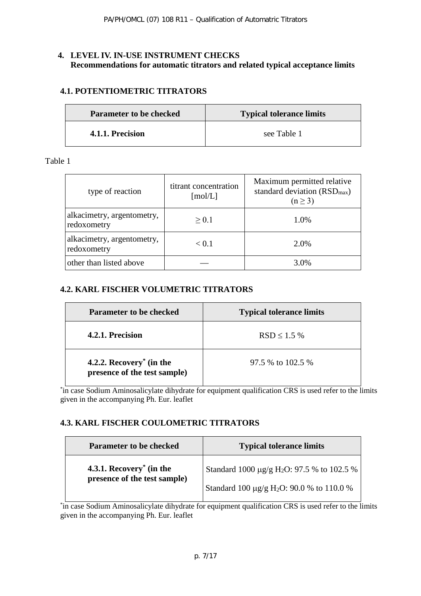## **4. LEVEL IV. IN-USE INSTRUMENT CHECKS Recommendations for automatic titrators and related typical acceptance limits**

# <span id="page-6-0"></span>**4.1. POTENTIOMETRIC TITRATORS**

| <b>Parameter to be checked</b> | <b>Typical tolerance limits</b> |
|--------------------------------|---------------------------------|
| 4.1.1. Precision               | see Table 1                     |

Table 1

| type of reaction                          | titrant concentration<br>$\lceil \text{mol/L} \rceil$ | Maximum permitted relative<br>standard deviation $(RSD_{max})$<br>$(n \geq 3)$ |
|-------------------------------------------|-------------------------------------------------------|--------------------------------------------------------------------------------|
| alkacimetry, argentometry,<br>redoxometry | > 0.1                                                 | 1.0%                                                                           |
| alkacimetry, argentometry,<br>redoxometry | < 0.1                                                 | 2.0%                                                                           |
| other than listed above                   |                                                       | 3.0%                                                                           |

#### <span id="page-6-1"></span>**4.2. KARL FISCHER VOLUMETRIC TITRATORS**

| <b>Parameter to be checked</b>                                       | <b>Typical tolerance limits</b> |
|----------------------------------------------------------------------|---------------------------------|
| 4.2.1. Precision                                                     | $RSD \le 1.5\%$                 |
| 4.2.2. Recovery <sup>*</sup> (in the<br>presence of the test sample) | 97.5 % to 102.5 %               |

\* in case Sodium Aminosalicylate dihydrate for equipment qualification CRS is used refer to the limits given in the accompanying Ph. Eur. leaflet

# <span id="page-6-2"></span>**4.3. KARL FISCHER COULOMETRIC TITRATORS**

| <b>Parameter to be checked</b>                                       | <b>Typical tolerance limits</b>                        |
|----------------------------------------------------------------------|--------------------------------------------------------|
| 4.3.1. Recovery <sup>*</sup> (in the<br>presence of the test sample) | Standard 1000 μg/g H <sub>2</sub> O: 97.5 % to 102.5 % |
|                                                                      | Standard 100 µg/g H <sub>2</sub> O: 90.0 % to 110.0 %  |

\* in case Sodium Aminosalicylate dihydrate for equipment qualification CRS is used refer to the limits given in the accompanying Ph. Eur. leaflet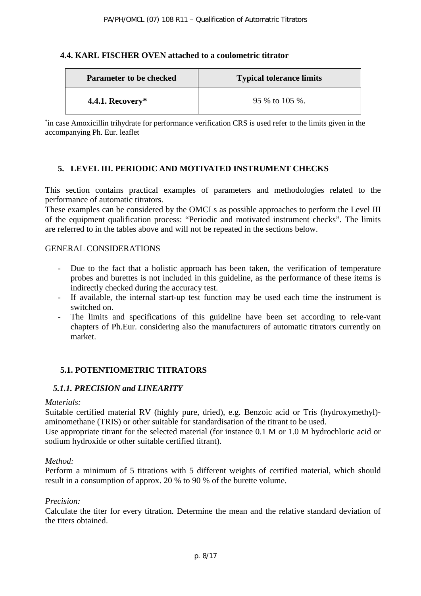#### <span id="page-7-0"></span>**4.4. KARL FISCHER OVEN attached to a coulometric titrator**

| <b>Parameter to be checked</b> | <b>Typical tolerance limits</b> |
|--------------------------------|---------------------------------|
| 4.4.1. Recovery*               | 95 % to 105 %.                  |

\* in case Amoxicillin trihydrate for performance verification CRS is used refer to the limits given in the accompanying Ph. Eur. leaflet

## <span id="page-7-1"></span>**5. LEVEL III. PERIODIC AND MOTIVATED INSTRUMENT CHECKS**

This section contains practical examples of parameters and methodologies related to the performance of automatic titrators.

These examples can be considered by the OMCLs as possible approaches to perform the Level III of the equipment qualification process: "Periodic and motivated instrument checks". The limits are referred to in the tables above and will not be repeated in the sections below.

#### GENERAL CONSIDERATIONS

- Due to the fact that a holistic approach has been taken, the verification of temperature probes and burettes is not included in this guideline, as the performance of these items is indirectly checked during the accuracy test.
- If available, the internal start-up test function may be used each time the instrument is switched on.
- The limits and specifications of this guideline have been set according to rele-vant chapters of Ph.Eur. considering also the manufacturers of automatic titrators currently on market.

## <span id="page-7-2"></span>**5.1. POTENTIOMETRIC TITRATORS**

## <span id="page-7-3"></span>*5.1.1. PRECISION and LINEARITY*

#### *Materials:*

Suitable certified material RV (highly pure, dried), e.g. Benzoic acid or Tris (hydroxymethyl) aminomethane (TRIS) or other suitable for standardisation of the titrant to be used.

Use appropriate titrant for the selected material (for instance 0.1 M or 1.0 M hydrochloric acid or sodium hydroxide or other suitable certified titrant).

#### *Method:*

Perform a minimum of 5 titrations with 5 different weights of certified material, which should result in a consumption of approx. 20 % to 90 % of the burette volume.

#### *Precision:*

Calculate the titer for every titration. Determine the mean and the relative standard deviation of the titers obtained.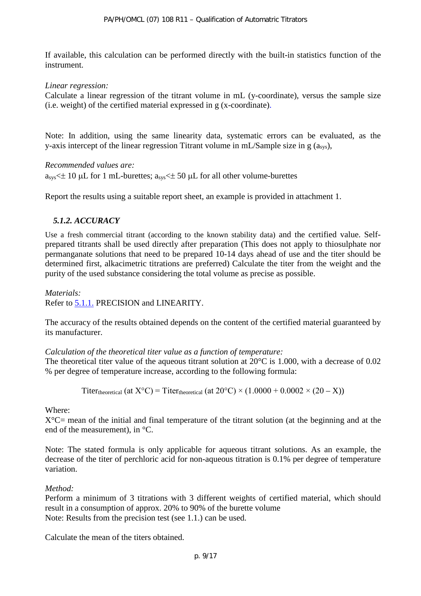If available, this calculation can be performed directly with the built-in statistics function of the instrument.

*Linear regression:* 

Calculate a linear regression of the titrant volume in mL (y-coordinate), versus the sample size (i.e. weight) of the certified material expressed in g (x-coordinate).

Note: In addition, using the same linearity data, systematic errors can be evaluated, as the y-axis intercept of the linear regression Titrant volume in mL/Sample size in  $g$  ( $a<sub>sys</sub>$ ),

*Recommended values are:*

 $a_{sys} \leq \pm 10$  µL for 1 mL-burettes;  $a_{sys} \leq \pm 50$  µL for all other volume-burettes

Report the results using a suitable report sheet, an example is provided in attachment 1.

#### *5.1.2. ACCURACY*

Use a fresh commercial titrant (according to the known stability data) and the certified value. Selfprepared titrants shall be used directly after preparation (This does not apply to thiosulphate nor permanganate solutions that need to be prepared 10-14 days ahead of use and the titer should be determined first, alkacimetric titrations are preferred) Calculate the titer from the weight and the purity of the used substance considering the total volume as precise as possible.

*Materials:* Refer to [5.1.1.](#page-7-3) PRECISION and LINEARITY.

The accuracy of the results obtained depends on the content of the certified material guaranteed by its manufacturer.

#### *Calculation of the theoretical titer value as a function of temperature:*

The theoretical titer value of the aqueous titrant solution at 20<sup>o</sup>C is 1.000, with a decrease of 0.02 % per degree of temperature increase, according to the following formula:

Titer<sub>theoretical</sub> (at  $X^{\circ}C$ ) = Titer<sub>theoretical</sub> (at  $20^{\circ}C$ ) × (1.0000 + 0.0002 × (20 – X))

Where:

 $X^{\circ}C$  mean of the initial and final temperature of the titrant solution (at the beginning and at the end of the measurement), in °C.

Note: The stated formula is only applicable for aqueous titrant solutions. As an example, the decrease of the titer of perchloric acid for non-aqueous titration is 0.1% per degree of temperature variation.

#### *Method:*

Perform a minimum of 3 titrations with 3 different weights of certified material, which should result in a consumption of approx. 20% to 90% of the burette volume Note: Results from the precision test (see 1.1.) can be used.

Calculate the mean of the titers obtained.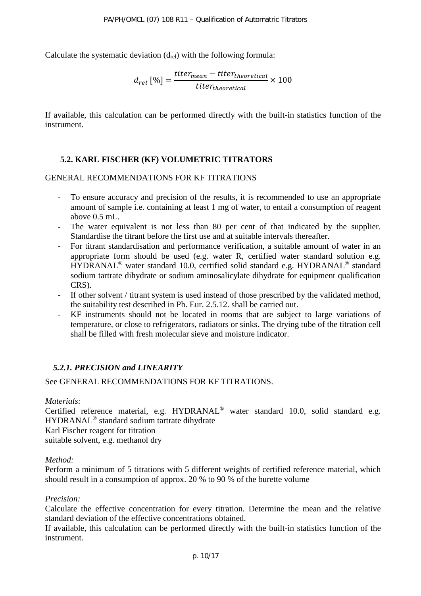Calculate the systematic deviation  $(d_{rel})$  with the following formula:

$$
d_{rel} [\%] = \frac{titer_{mean} - titer_{theoretical}}{titer_{theoretical}} \times 100
$$

If available, this calculation can be performed directly with the built-in statistics function of the instrument.

## <span id="page-9-0"></span>**5.2. KARL FISCHER (KF) VOLUMETRIC TITRATORS**

#### GENERAL RECOMMENDATIONS FOR KF TITRATIONS

- To ensure accuracy and precision of the results, it is recommended to use an appropriate amount of sample i.e. containing at least 1 mg of water, to entail a consumption of reagent above 0.5 mL.
- The water equivalent is not less than 80 per cent of that indicated by the supplier. Standardise the titrant before the first use and at suitable intervals thereafter.
- For titrant standardisation and performance verification, a suitable amount of water in an appropriate form should be used (e.g. water R, certified water standard solution e.g. HYDRANAL® water standard 10.0, certified solid standard e.g. HYDRANAL® standard sodium tartrate dihydrate or sodium aminosalicylate dihydrate for equipment qualification CRS).
- If other solvent / titrant system is used instead of those prescribed by the validated method, the suitability test described in Ph. Eur. 2.5.12. shall be carried out.
- KF instruments should not be located in rooms that are subject to large variations of temperature, or close to refrigerators, radiators or sinks. The drying tube of the titration cell shall be filled with fresh molecular sieve and moisture indicator.

#### *5.2.1. PRECISION and LINEARITY*

See GENERAL RECOMMENDATIONS FOR KF TITRATIONS.

#### *Materials:*

Certified reference material, e.g. HYDRANAL® water standard 10.0, solid standard e.g. HYDRANAL® standard sodium tartrate dihydrate Karl Fischer reagent for titration suitable solvent, e.g. methanol dry

#### *Method:*

Perform a minimum of 5 titrations with 5 different weights of certified reference material, which should result in a consumption of approx. 20 % to 90 % of the burette volume

#### *Precision:*

Calculate the effective concentration for every titration. Determine the mean and the relative standard deviation of the effective concentrations obtained.

If available, this calculation can be performed directly with the built-in statistics function of the instrument.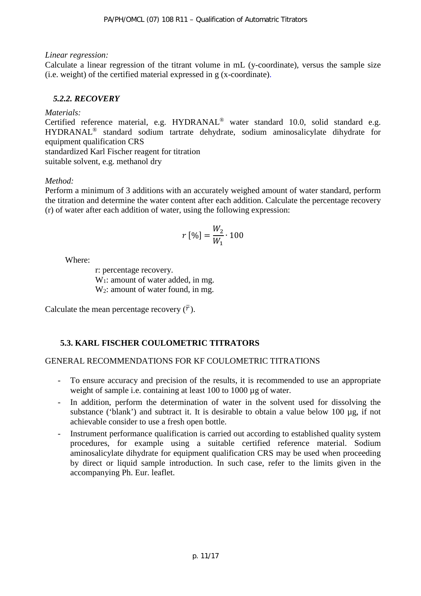#### *Linear regression:*

Calculate a linear regression of the titrant volume in mL (y-coordinate), versus the sample size (i.e. weight) of the certified material expressed in g (x-coordinate).

# <span id="page-10-1"></span>*5.2.2. RECOVERY*

#### *Materials:*

Certified reference material, e.g. HYDRANAL® water standard 10.0, solid standard e.g. HYDRANAL® standard sodium tartrate dehydrate, sodium aminosalicylate dihydrate for equipment qualification CRS

standardized Karl Fischer reagent for titration suitable solvent, e.g. methanol dry

# *Method:*

Perform a minimum of 3 additions with an accurately weighed amount of water standard, perform the titration and determine the water content after each addition. Calculate the percentage recovery (r) of water after each addition of water, using the following expression:

$$
r\,[\%]=\frac{W_2}{W_1}\cdot 100
$$

Where:

r: percentage recovery. W<sub>1</sub>: amount of water added, in mg. W<sub>2</sub>: amount of water found, in mg.

Calculate the mean percentage recovery  $(\bar{r})$ .

# <span id="page-10-0"></span>**5.3. KARL FISCHER COULOMETRIC TITRATORS**

# GENERAL RECOMMENDATIONS FOR KF COULOMETRIC TITRATIONS

- To ensure accuracy and precision of the results, it is recommended to use an appropriate weight of sample i.e. containing at least 100 to 1000 µg of water.
- In addition, perform the determination of water in the solvent used for dissolving the substance ('blank') and subtract it. It is desirable to obtain a value below 100 µg, if not achievable consider to use a fresh open bottle.
- Instrument performance qualification is carried out according to established quality system procedures, for example using a suitable certified reference material. Sodium aminosalicylate dihydrate for equipment qualification CRS may be used when proceeding by direct or liquid sample introduction. In such case, refer to the limits given in the accompanying Ph. Eur. leaflet.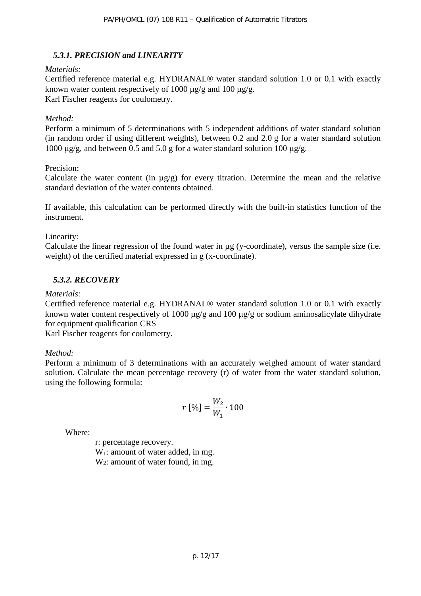# *5.3.1. PRECISION and LINEARITY*

#### *Materials:*

Certified reference material e.g. HYDRANAL® water standard solution 1.0 or 0.1 with exactly known water content respectively of 1000  $\mu$ g/g and 100  $\mu$ g/g. Karl Fischer reagents for coulometry.

#### *Method:*

Perform a minimum of 5 determinations with 5 independent additions of water standard solution (in random order if using different weights), between 0.2 and 2.0 g for a water standard solution 1000  $\mu$ g/g, and between 0.5 and 5.0 g for a water standard solution 100  $\mu$ g/g.

#### Precision:

Calculate the water content (in  $\mu$ g/g) for every titration. Determine the mean and the relative standard deviation of the water contents obtained.

If available, this calculation can be performed directly with the built-in statistics function of the instrument.

#### Linearity:

Calculate the linear regression of the found water in µg (y-coordinate), versus the sample size (i.e. weight) of the certified material expressed in g (x-coordinate).

# <span id="page-11-0"></span>*5.3.2. RECOVERY*

#### *Materials:*

Certified reference material e.g. HYDRANAL® water standard solution 1.0 or 0.1 with exactly known water content respectively of 1000  $\mu$ g/g and 100  $\mu$ g/g or sodium aminosalicylate dihydrate for equipment qualification CRS

Karl Fischer reagents for coulometry.

#### *Method:*

Perform a minimum of 3 determinations with an accurately weighed amount of water standard solution. Calculate the mean percentage recovery (r) of water from the water standard solution, using the following formula:

$$
r\,[\%]=\frac{W_2}{W_1}\cdot 100
$$

Where:

r: percentage recovery.

W<sub>1</sub>: amount of water added, in mg.  $W_2$ : amount of water found, in mg.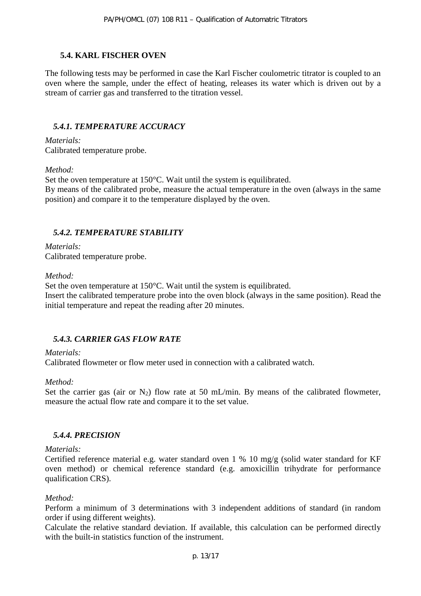#### <span id="page-12-0"></span>**5.4. KARL FISCHER OVEN**

The following tests may be performed in case the Karl Fischer coulometric titrator is coupled to an oven where the sample, under the effect of heating, releases its water which is driven out by a stream of carrier gas and transferred to the titration vessel.

#### *5.4.1. TEMPERATURE ACCURACY*

*Materials:*

Calibrated temperature probe.

#### *Method:*

Set the oven temperature at 150°C. Wait until the system is equilibrated.

By means of the calibrated probe, measure the actual temperature in the oven (always in the same position) and compare it to the temperature displayed by the oven.

## *5.4.2. TEMPERATURE STABILITY*

*Materials:* Calibrated temperature probe.

#### *Method:*

Set the oven temperature at 150°C. Wait until the system is equilibrated. Insert the calibrated temperature probe into the oven block (always in the same position). Read the initial temperature and repeat the reading after 20 minutes.

## *5.4.3. CARRIER GAS FLOW RATE*

#### *Materials:*

Calibrated flowmeter or flow meter used in connection with a calibrated watch.

#### *Method:*

Set the carrier gas (air or  $N_2$ ) flow rate at 50 mL/min. By means of the calibrated flowmeter, measure the actual flow rate and compare it to the set value.

## <span id="page-12-1"></span>*5.4.4. PRECISION*

#### *Materials:*

Certified reference material e.g. water standard oven 1 % 10 mg/g (solid water standard for KF oven method) or chemical reference standard (e.g. amoxicillin trihydrate for performance qualification CRS).

#### *Method:*

Perform a minimum of 3 determinations with 3 independent additions of standard (in random order if using different weights).

Calculate the relative standard deviation. If available, this calculation can be performed directly with the built-in statistics function of the instrument.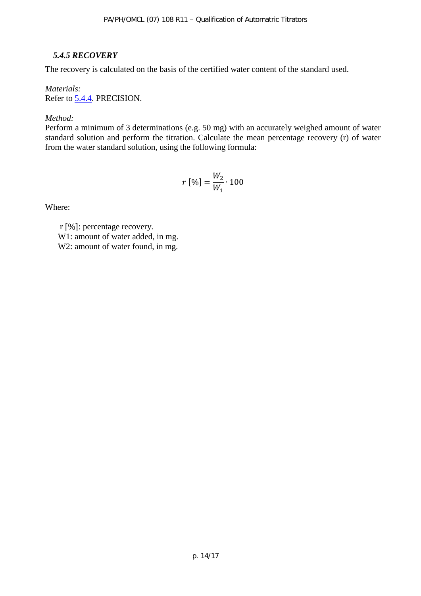## <span id="page-13-0"></span>*5.4.5 RECOVERY*

The recovery is calculated on the basis of the certified water content of the standard used.

#### *Materials:* Refer to [5.4.4.](#page-12-1) PRECISION.

#### *Method:*

Perform a minimum of 3 determinations (e.g. 50 mg) with an accurately weighed amount of water standard solution and perform the titration. Calculate the mean percentage recovery (r) of water from the water standard solution, using the following formula:

$$
r [%] = \frac{W_2}{W_1} \cdot 100
$$

Where:

r [%]: percentage recovery. W<sub>1</sub>: amount of water added, in mg. W<sub>2</sub>: amount of water found, in mg.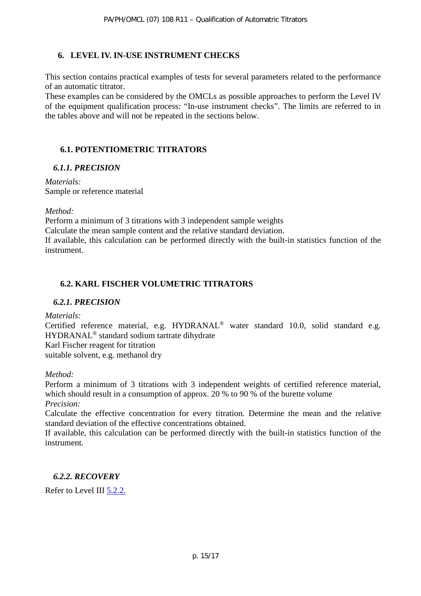## <span id="page-14-0"></span>**6. LEVEL IV. IN-USE INSTRUMENT CHECKS**

This section contains practical examples of tests for several parameters related to the performance of an automatic titrator.

These examples can be considered by the OMCLs as possible approaches to perform the Level IV of the equipment qualification process: "In-use instrument checks". The limits are referred to in the tables above and will not be repeated in the sections below.

## <span id="page-14-1"></span>**6.1. POTENTIOMETRIC TITRATORS**

#### *6.1.1. PRECISION*

*Materials:* Sample or reference material

#### *Method:*

Perform a minimum of 3 titrations with 3 independent sample weights

Calculate the mean sample content and the relative standard deviation.

If available, this calculation can be performed directly with the built-in statistics function of the instrument.

# <span id="page-14-2"></span>**6.2. KARL FISCHER VOLUMETRIC TITRATORS**

## *6.2.1. PRECISION*

*Materials:*

Certified reference material, e.g. HYDRANAL® water standard 10.0, solid standard e.g. HYDRANAL® standard sodium tartrate dihydrate

Karl Fischer reagent for titration

suitable solvent, e.g. methanol dry

## *Method:*

Perform a minimum of 3 titrations with 3 independent weights of certified reference material, which should result in a consumption of approx. 20 % to 90 % of the burette volume *Precision:*

Calculate the effective concentration for every titration. Determine the mean and the relative standard deviation of the effective concentrations obtained.

If available, this calculation can be performed directly with the built-in statistics function of the instrument.

# *6.2.2. RECOVERY*

Refer to Level III [5.2.2.](#page-10-1)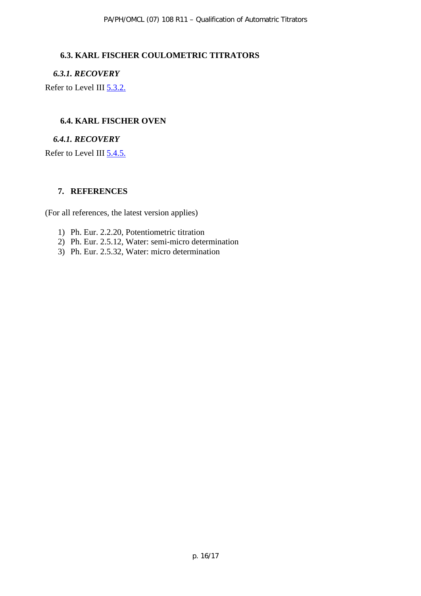#### <span id="page-15-0"></span>**6.3. KARL FISCHER COULOMETRIC TITRATORS**

*6.3.1. RECOVERY*

Refer to Level III [5.3.2.](#page-11-0)

#### <span id="page-15-1"></span>**6.4. KARL FISCHER OVEN**

#### *6.4.1. RECOVERY*

Refer to Level III [5.4.5.](#page-13-0)

#### <span id="page-15-2"></span>**7. REFERENCES**

(For all references, the latest version applies)

- 1) Ph. Eur. 2.2.20, Potentiometric titration
- 2) Ph. Eur. 2.5.12, Water: semi-micro determination
- 3) Ph. Eur. 2.5.32, Water: micro determination